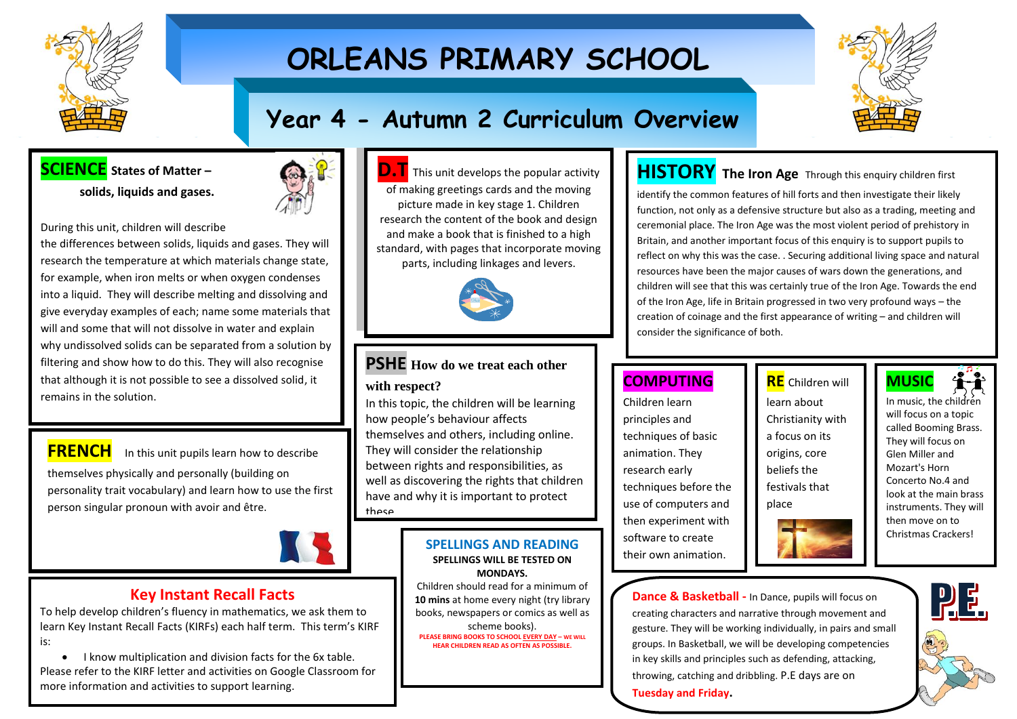

# **ORLEANS PRIMARY SCHOOL**



# **Year 4 - Autumn 2 Curriculum Overview**

**SCIENCE States of Matter – solids, liquids and gases.**



During this unit, children will describe

the differences between solids, liquids and gases. They will research the temperature at which materials change state, for example, when iron melts or when oxygen condenses into a liquid. They will describe melting and dissolving and give everyday examples of each; name some materials that will and some that will not dissolve in water and explain why undissolved solids can be separated from a solution by filtering and show how to do this. They will also recognise that although it is not possible to see a dissolved solid, it remains in the solution.

**FRENCH** In this unit pupils learn how to describe themselves physically and personally (building on personality trait vocabulary) and learn how to use the first person singular pronoun with avoir and être.

i



### **Key Instant Recall Facts**

To help develop children's fluency in mathematics, we ask them to learn Key Instant Recall Facts (KIRFs) each half term. This term's KIRF is:

• I know multiplication and division facts for the 6x table. Please refer to the KIRF letter and activities on Google Classroom for more information and activities to support learning.





### **PSHE How do we treat each other with respect?**

In this topic, the children will be learning how people's behaviour affects themselves and others, including online. They will consider the relationship between rights and responsibilities, as well as discovering the rights that children have and why it is important to protect these.

#### **SPELLINGS AND READING SPELLINGS WILL BE TESTED ON MONDAYS.**

Children should read for a minimum of **10 mins** at home every night (try library books, newspapers or comics as well as scheme books). **PLEASE BRING BOOKS TO SCHOOL EVERY DAY – WE WILL HEAR CHILDREN READ AS OFTEN AS POSSIBLE.**

## **HISTORY The Iron Age** Through this enquiry children first

identify the common features of hill forts and then investigate their likely function, not only as a defensive structure but also as a trading, meeting and ceremonial place. The Iron Age was the most violent period of prehistory in Britain, and another important focus of this enquiry is to support pupils to reflect on why this was the case. . Securing additional living space and natural resources have been the major causes of wars down the generations, and children will see that this was certainly true of the Iron Age. Towards the end of the Iron Age, life in Britain progressed in two very profound ways – the creation of coinage and the first appearance of writing – and children will consider the significance of both.

## **COMPUTING**

Children learn principles and techniques of basic animation. They research early techniques before the use of computers and then experiment with software to create their own animation.

## **RE** Children will

learn about Christianity with a focus on its origins, core beliefs the festivals that place



will focus on a topic called Booming Brass. They will focus on Glen Miller and Mozart's Horn Concerto No.4 and look at the main brass instruments. They will then move on to Christmas Crackers!

**Dance & Basketball -** In Dance, pupils will focus on creating characters and narrative through movement and gesture. They will be working individually, in pairs and small groups. In Basketball, we will be developing competencies in key skills and principles such as defending, attacking, throwing, catching and dribbling. P.E days are on **Tuesday and Friday.**

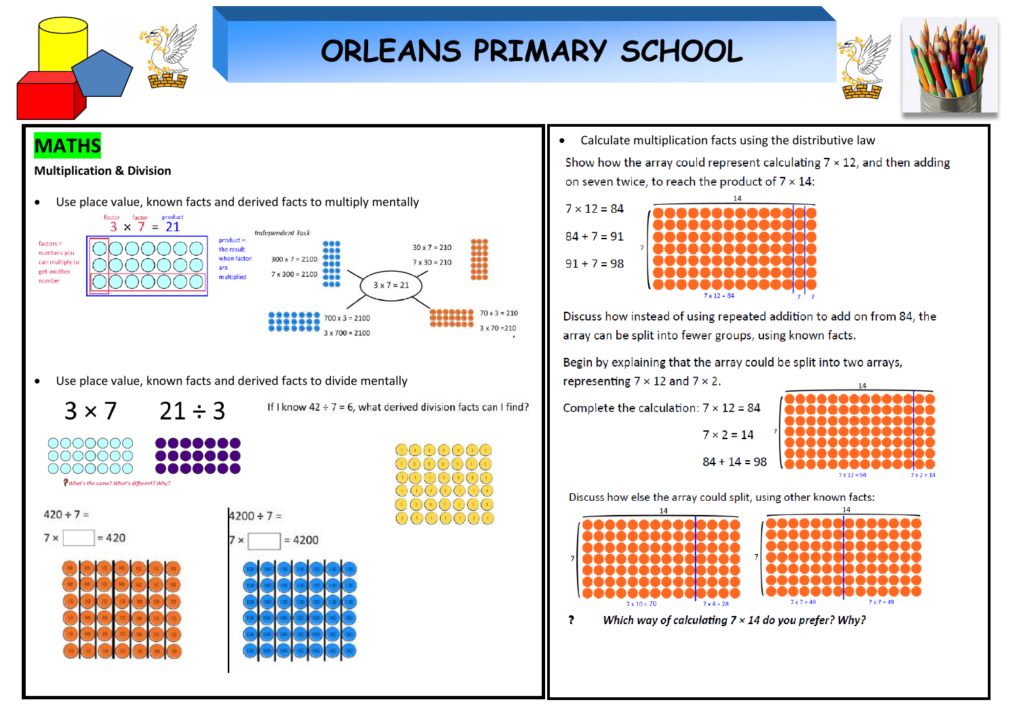

# **ORLEANS PRIMARY SCHOOL**



# **MATHS**





• Use place value, known facts and derived facts to divide mentally

 $3 \times 7$  $71 \div 3$ 

If I know  $42 \div 7 = 6$ , what derived division facts can I find?









• Calculate multiplication facts using the distributive law

Show how the array could represent calculating  $7 \times 12$ , and then adding on seven twice, to reach the product of  $7 \times 14$ :



Discuss how instead of using repeated addition to add on from 84, the array can be split into fewer groups, using known facts.

Begin by explaining that the array could be split into two arrays, representing  $7 \times 12$  and  $7 \times 2$ .

 $7 \times 2 = 14$ 

Complete the calculation:  $7 \times 12 = 84$ 



Discuss how else the array could split, using other known facts:



Which way of calculating  $7 \times 14$  do you prefer? Why? 2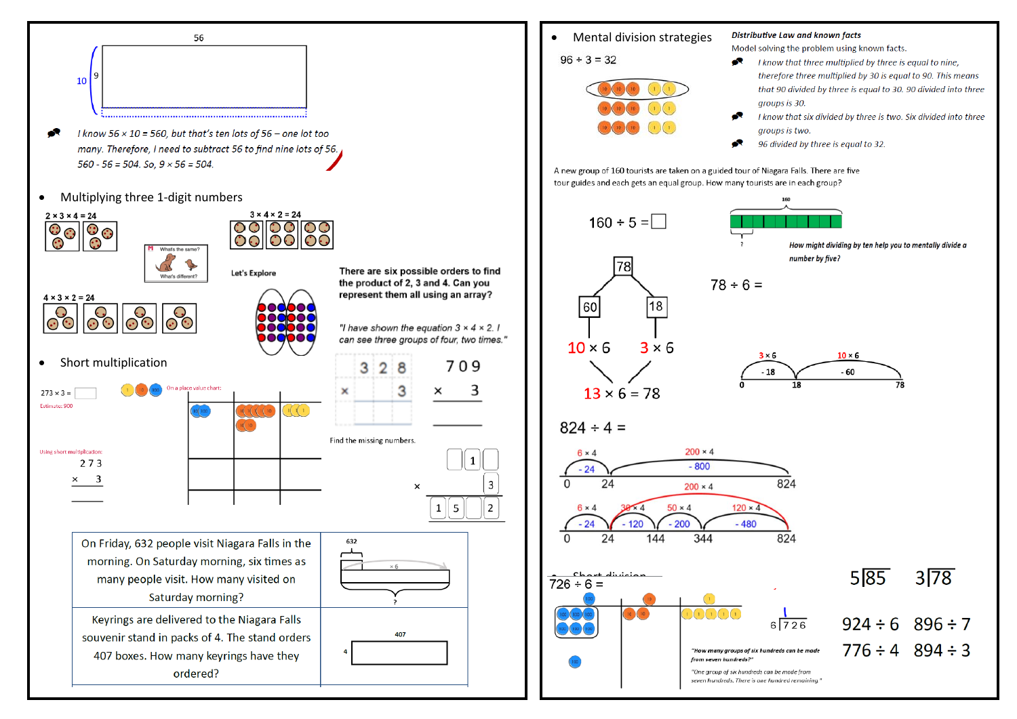